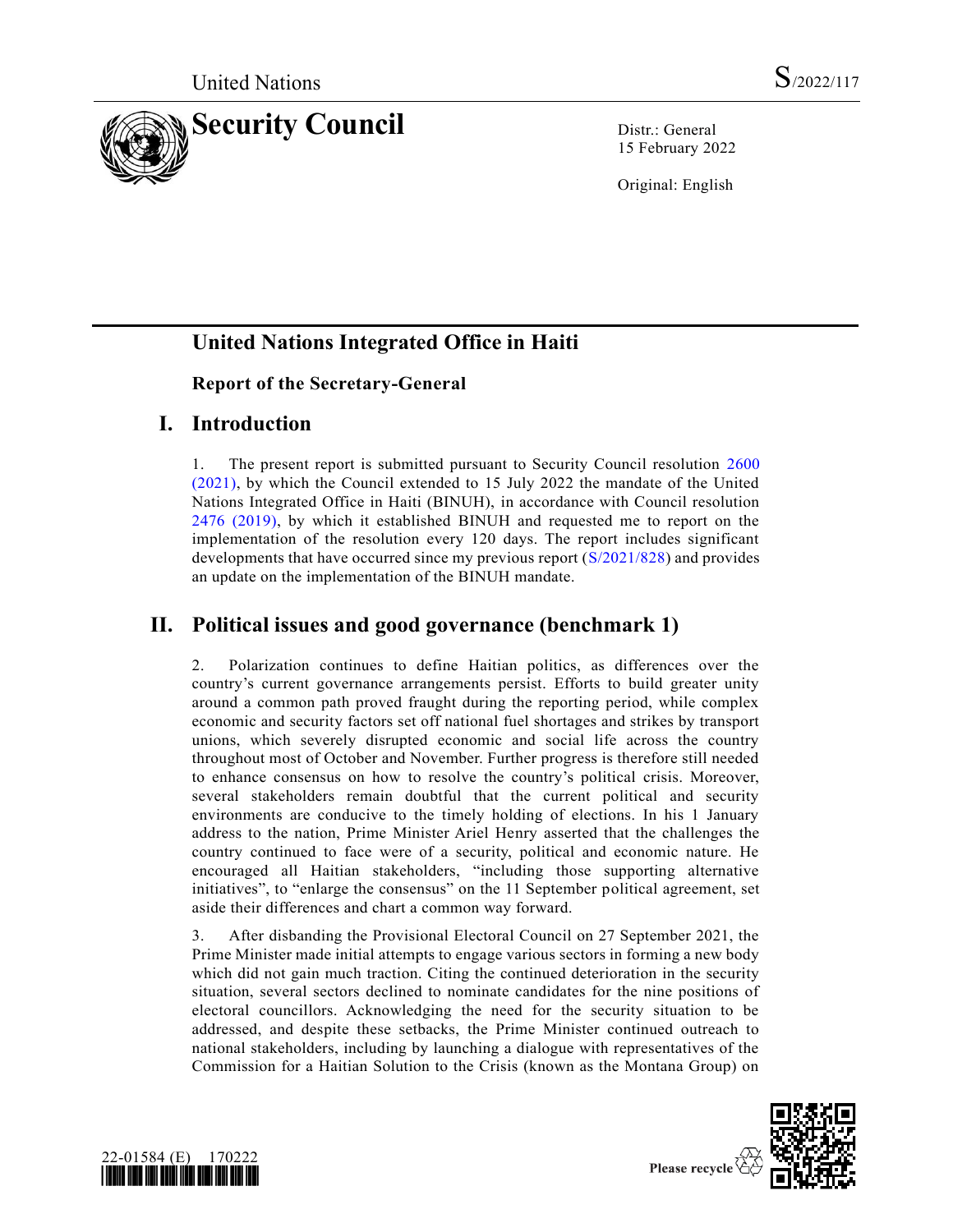

15 February 2022

Original: English

# **United Nations Integrated Office in Haiti**

### **Report of the Secretary-General**

### **I. Introduction**

1. The present report is submitted pursuant to Security Council resolution [2600](https://undocs.org/en/S/RES/2600(2021))  [\(2021\),](https://undocs.org/en/S/RES/2600(2021)) by which the Council extended to 15 July 2022 the mandate of the United Nations Integrated Office in Haiti (BINUH), in accordance with Council resolution [2476 \(2019\),](https://undocs.org/en/S/RES/2476(2019)) by which it established BINUH and requested me to report on the implementation of the resolution every 120 days. The report includes significant developments that have occurred since my previous report [\(S/2021/828\)](https://undocs.org/en/S/2021/828) and provides an update on the implementation of the BINUH mandate.

## **II. Political issues and good governance (benchmark 1)**

2. Polarization continues to define Haitian politics, as differences over the country's current governance arrangements persist. Efforts to build greater unity around a common path proved fraught during the reporting period, while complex economic and security factors set off national fuel shortages and strikes by transport unions, which severely disrupted economic and social life across the country throughout most of October and November. Further progress is therefore still needed to enhance consensus on how to resolve the country's political crisis. Moreover, several stakeholders remain doubtful that the current political and security environments are conducive to the timely holding of elections. In his 1 January address to the nation, Prime Minister Ariel Henry asserted that the challenges the country continued to face were of a security, political and economic nature. He encouraged all Haitian stakeholders, "including those supporting alternative initiatives", to "enlarge the consensus" on the 11 September political agreement, set aside their differences and chart a common way forward.

3. After disbanding the Provisional Electoral Council on 27 September 2021, the Prime Minister made initial attempts to engage various sectors in forming a new body which did not gain much traction. Citing the continued deterioration in the security situation, several sectors declined to nominate candidates for the nine positions of electoral councillors. Acknowledging the need for the security situation to be addressed, and despite these setbacks, the Prime Minister continued outreach to national stakeholders, including by launching a dialogue with representatives of the Commission for a Haitian Solution to the Crisis (known as the Montana Group) on



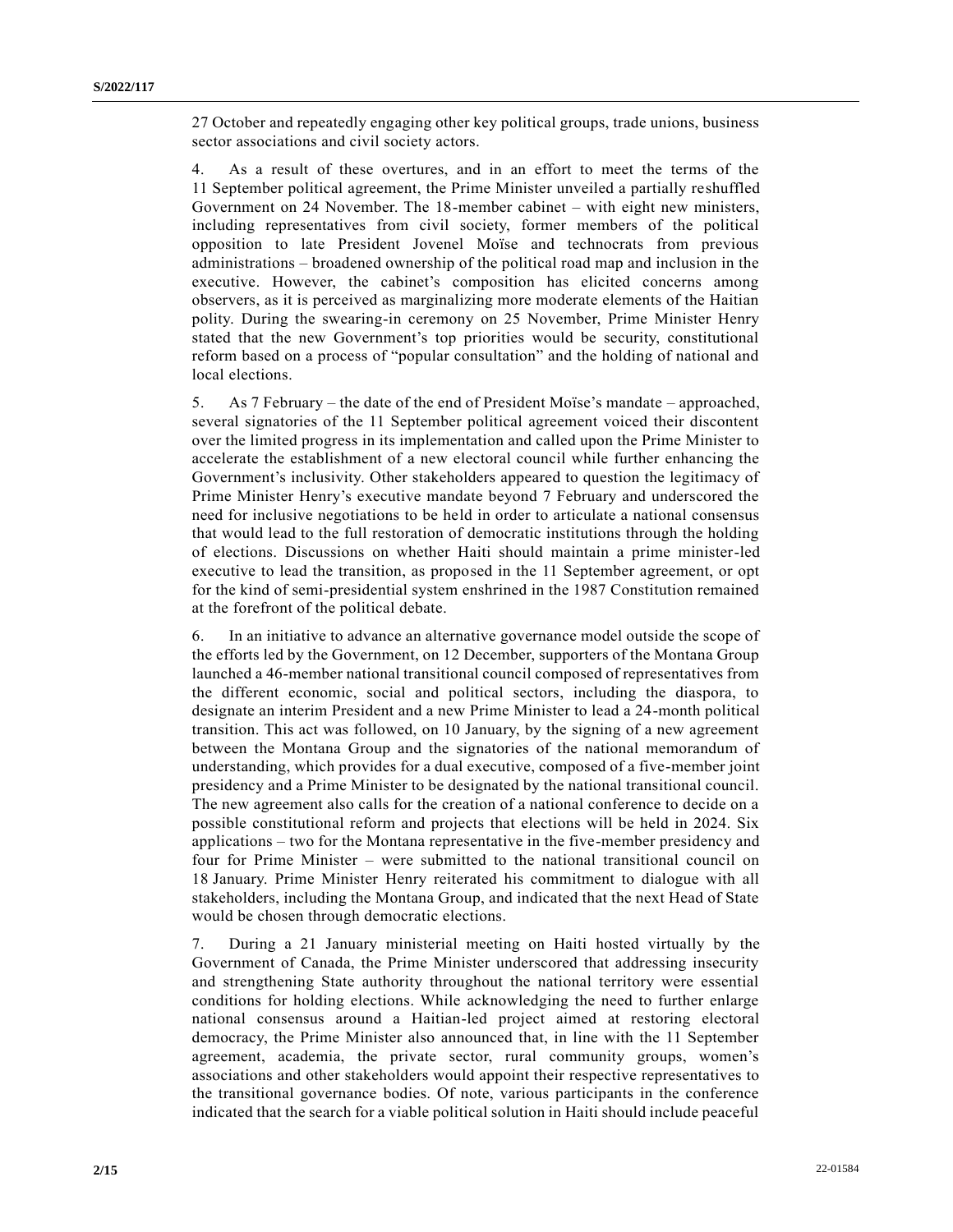27 October and repeatedly engaging other key political groups, trade unions, business sector associations and civil society actors.

4. As a result of these overtures, and in an effort to meet the terms of the 11 September political agreement, the Prime Minister unveiled a partially reshuffled Government on 24 November. The 18-member cabinet – with eight new ministers, including representatives from civil society, former members of the political opposition to late President Jovenel Moïse and technocrats from previous administrations – broadened ownership of the political road map and inclusion in the executive. However, the cabinet's composition has elicited concerns among observers, as it is perceived as marginalizing more moderate elements of the Haitian polity. During the swearing-in ceremony on 25 November, Prime Minister Henry stated that the new Government's top priorities would be security, constitutional reform based on a process of "popular consultation" and the holding of national and local elections.

5. As 7 February – the date of the end of President Moïse's mandate – approached, several signatories of the 11 September political agreement voiced their discontent over the limited progress in its implementation and called upon the Prime Minister to accelerate the establishment of a new electoral council while further enhancing the Government's inclusivity. Other stakeholders appeared to question the legitimacy of Prime Minister Henry's executive mandate beyond 7 February and underscored the need for inclusive negotiations to be held in order to articulate a national consensus that would lead to the full restoration of democratic institutions through the holding of elections. Discussions on whether Haiti should maintain a prime minister-led executive to lead the transition, as proposed in the 11 September agreement, or opt for the kind of semi-presidential system enshrined in the 1987 Constitution remained at the forefront of the political debate.

6. In an initiative to advance an alternative governance model outside the scope of the efforts led by the Government, on 12 December, supporters of the Montana Group launched a 46-member national transitional council composed of representatives from the different economic, social and political sectors, including the diaspora, to designate an interim President and a new Prime Minister to lead a 24-month political transition. This act was followed, on 10 January, by the signing of a new agreement between the Montana Group and the signatories of the national memorandum of understanding, which provides for a dual executive, composed of a five-member joint presidency and a Prime Minister to be designated by the national transitional council. The new agreement also calls for the creation of a national conference to decide on a possible constitutional reform and projects that elections will be held in 2024. Six applications – two for the Montana representative in the five-member presidency and four for Prime Minister – were submitted to the national transitional council on 18 January. Prime Minister Henry reiterated his commitment to dialogue with all stakeholders, including the Montana Group, and indicated that the next Head of State would be chosen through democratic elections.

7. During a 21 January ministerial meeting on Haiti hosted virtually by the Government of Canada, the Prime Minister underscored that addressing insecurity and strengthening State authority throughout the national territory were essential conditions for holding elections. While acknowledging the need to further enlarge national consensus around a Haitian-led project aimed at restoring electoral democracy, the Prime Minister also announced that, in line with the 11 September agreement, academia, the private sector, rural community groups, women's associations and other stakeholders would appoint their respective representatives to the transitional governance bodies. Of note, various participants in the conference indicated that the search for a viable political solution in Haiti should include peaceful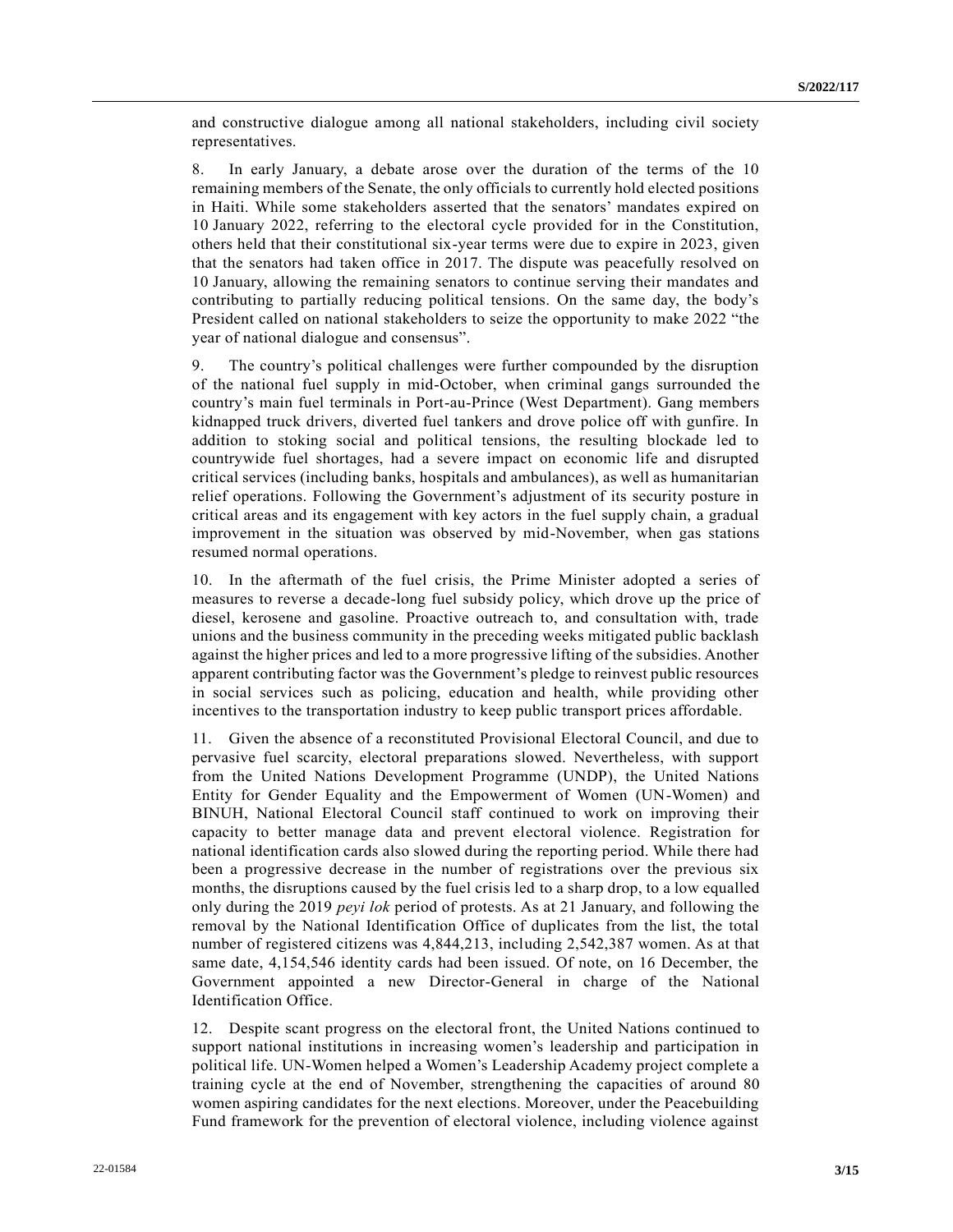and constructive dialogue among all national stakeholders, including civil society representatives.

8. In early January, a debate arose over the duration of the terms of the 10 remaining members of the Senate, the only officials to currently hold elected positions in Haiti. While some stakeholders asserted that the senators' mandates expired on 10 January 2022, referring to the electoral cycle provided for in the Constitution, others held that their constitutional six-year terms were due to expire in 2023, given that the senators had taken office in 2017. The dispute was peacefully resolved on 10 January, allowing the remaining senators to continue serving their mandates and contributing to partially reducing political tensions. On the same day, the body's President called on national stakeholders to seize the opportunity to make 2022 "the year of national dialogue and consensus".

9. The country's political challenges were further compounded by the disruption of the national fuel supply in mid-October, when criminal gangs surrounded the country's main fuel terminals in Port-au-Prince (West Department). Gang members kidnapped truck drivers, diverted fuel tankers and drove police off with gunfire. In addition to stoking social and political tensions, the resulting blockade led to countrywide fuel shortages, had a severe impact on economic life and disrupted critical services (including banks, hospitals and ambulances), as well as humanitarian relief operations. Following the Government's adjustment of its security posture in critical areas and its engagement with key actors in the fuel supply chain, a gradual improvement in the situation was observed by mid-November, when gas stations resumed normal operations.

10. In the aftermath of the fuel crisis, the Prime Minister adopted a series of measures to reverse a decade-long fuel subsidy policy, which drove up the price of diesel, kerosene and gasoline. Proactive outreach to, and consultation with, trade unions and the business community in the preceding weeks mitigated public backlash against the higher prices and led to a more progressive lifting of the subsidies. Another apparent contributing factor was the Government's pledge to reinvest public resources in social services such as policing, education and health, while providing other incentives to the transportation industry to keep public transport prices affordable.

11. Given the absence of a reconstituted Provisional Electoral Council, and due to pervasive fuel scarcity, electoral preparations slowed. Nevertheless, with support from the United Nations Development Programme (UNDP), the United Nations Entity for Gender Equality and the Empowerment of Women (UN-Women) and BINUH, National Electoral Council staff continued to work on improving their capacity to better manage data and prevent electoral violence. Registration for national identification cards also slowed during the reporting period. While there had been a progressive decrease in the number of registrations over the previous six months, the disruptions caused by the fuel crisis led to a sharp drop, to a low equalled only during the 2019 *peyi lok* period of protests. As at 21 January, and following the removal by the National Identification Office of duplicates from the list, the total number of registered citizens was 4,844,213, including 2,542,387 women. As at that same date, 4,154,546 identity cards had been issued. Of note, on 16 December, the Government appointed a new Director-General in charge of the National Identification Office.

12. Despite scant progress on the electoral front, the United Nations continued to support national institutions in increasing women's leadership and participation in political life. UN-Women helped a Women's Leadership Academy project complete a training cycle at the end of November, strengthening the capacities of around 80 women aspiring candidates for the next elections. Moreover, under the Peacebuilding Fund framework for the prevention of electoral violence, including violence against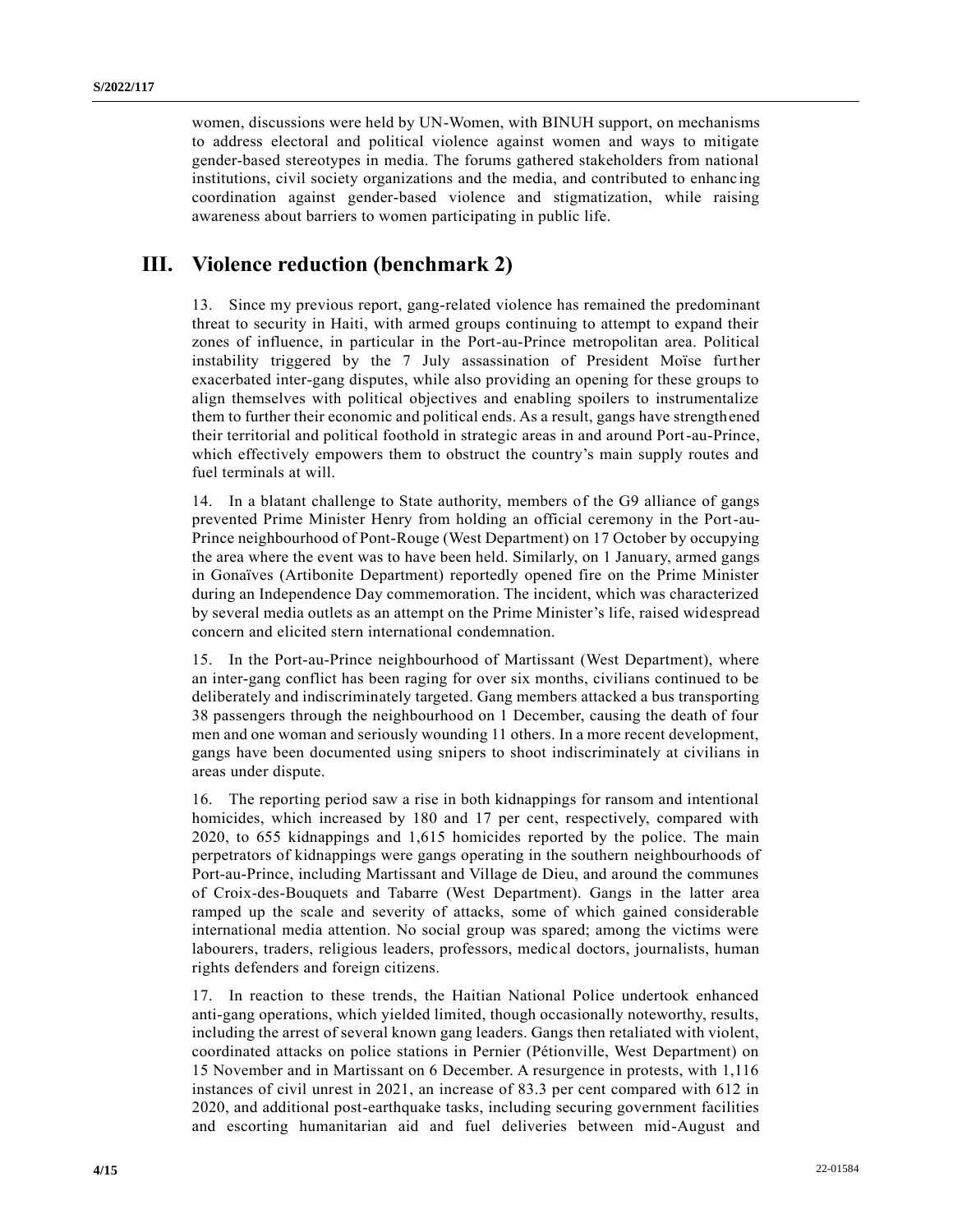women, discussions were held by UN-Women, with BINUH support, on mechanisms to address electoral and political violence against women and ways to mitigate gender-based stereotypes in media. The forums gathered stakeholders from national institutions, civil society organizations and the media, and contributed to enhancing coordination against gender-based violence and stigmatization, while raising awareness about barriers to women participating in public life.

### **III. Violence reduction (benchmark 2)**

13. Since my previous report, gang-related violence has remained the predominant threat to security in Haiti, with armed groups continuing to attempt to expand their zones of influence, in particular in the Port-au-Prince metropolitan area. Political instability triggered by the 7 July assassination of President Moïse further exacerbated inter-gang disputes, while also providing an opening for these groups to align themselves with political objectives and enabling spoilers to instrumentalize them to further their economic and political ends. As a result, gangs have strengthened their territorial and political foothold in strategic areas in and around Port-au-Prince, which effectively empowers them to obstruct the country's main supply routes and fuel terminals at will.

14. In a blatant challenge to State authority, members of the G9 alliance of gangs prevented Prime Minister Henry from holding an official ceremony in the Port-au-Prince neighbourhood of Pont-Rouge (West Department) on 17 October by occupying the area where the event was to have been held. Similarly, on 1 January, armed gangs in Gonaïves (Artibonite Department) reportedly opened fire on the Prime Minister during an Independence Day commemoration. The incident, which was characterized by several media outlets as an attempt on the Prime Minister's life, raised widespread concern and elicited stern international condemnation.

15. In the Port-au-Prince neighbourhood of Martissant (West Department), where an inter-gang conflict has been raging for over six months, civilians continued to be deliberately and indiscriminately targeted. Gang members attacked a bus transporting 38 passengers through the neighbourhood on 1 December, causing the death of four men and one woman and seriously wounding 11 others. In a more recent development, gangs have been documented using snipers to shoot indiscriminately at civilians in areas under dispute.

16. The reporting period saw a rise in both kidnappings for ransom and intentional homicides, which increased by 180 and 17 per cent, respectively, compared with 2020, to 655 kidnappings and 1,615 homicides reported by the police. The main perpetrators of kidnappings were gangs operating in the southern neighbourhoods of Port-au-Prince, including Martissant and Village de Dieu, and around the communes of Croix-des-Bouquets and Tabarre (West Department). Gangs in the latter area ramped up the scale and severity of attacks, some of which gained considerable international media attention. No social group was spared; among the victims were labourers, traders, religious leaders, professors, medical doctors, journalists, human rights defenders and foreign citizens.

17. In reaction to these trends, the Haitian National Police undertook enhanced anti-gang operations, which yielded limited, though occasionally noteworthy, results, including the arrest of several known gang leaders. Gangs then retaliated with violent, coordinated attacks on police stations in Pernier (Pétionville, West Department) on 15 November and in Martissant on 6 December. A resurgence in protests, with 1,116 instances of civil unrest in 2021, an increase of 83.3 per cent compared with 612 in 2020, and additional post-earthquake tasks, including securing government facilities and escorting humanitarian aid and fuel deliveries between mid-August and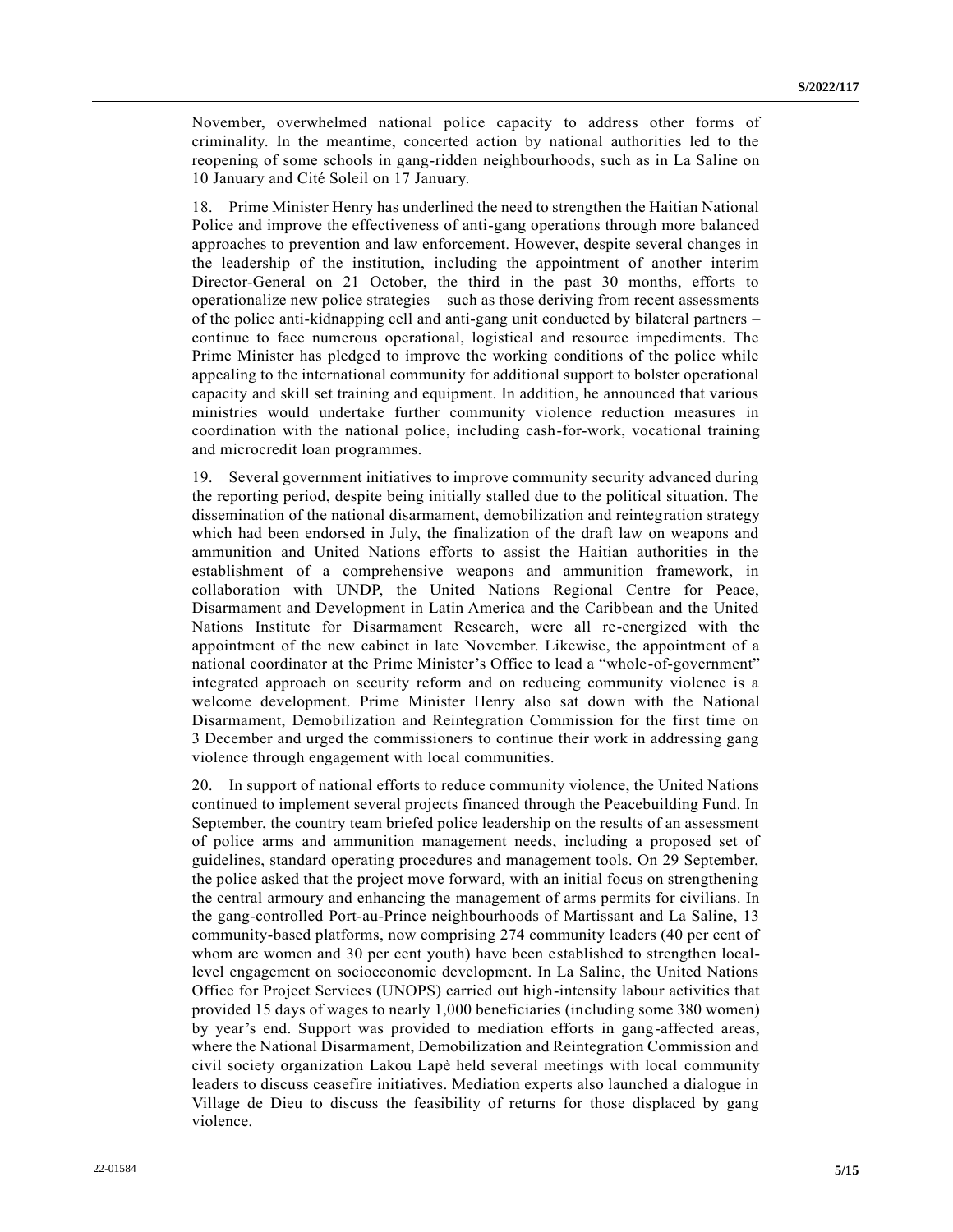November, overwhelmed national police capacity to address other forms of criminality. In the meantime, concerted action by national authorities led to the reopening of some schools in gang-ridden neighbourhoods, such as in La Saline on 10 January and Cité Soleil on 17 January.

18. Prime Minister Henry has underlined the need to strengthen the Haitian National Police and improve the effectiveness of anti-gang operations through more balanced approaches to prevention and law enforcement. However, despite several changes in the leadership of the institution, including the appointment of another interim Director-General on 21 October, the third in the past 30 months, efforts to operationalize new police strategies – such as those deriving from recent assessments of the police anti-kidnapping cell and anti-gang unit conducted by bilateral partners – continue to face numerous operational, logistical and resource impediments. The Prime Minister has pledged to improve the working conditions of the police while appealing to the international community for additional support to bolster operational capacity and skill set training and equipment. In addition, he announced that various ministries would undertake further community violence reduction measures in coordination with the national police, including cash-for-work, vocational training and microcredit loan programmes.

19. Several government initiatives to improve community security advanced during the reporting period, despite being initially stalled due to the political situation. The dissemination of the national disarmament, demobilization and reintegration strategy which had been endorsed in July, the finalization of the draft law on weapons and ammunition and United Nations efforts to assist the Haitian authorities in the establishment of a comprehensive weapons and ammunition framework, in collaboration with UNDP, the United Nations Regional Centre for Peace, Disarmament and Development in Latin America and the Caribbean and the United Nations Institute for Disarmament Research, were all re-energized with the appointment of the new cabinet in late November. Likewise, the appointment of a national coordinator at the Prime Minister's Office to lead a "whole-of-government" integrated approach on security reform and on reducing community violence is a welcome development. Prime Minister Henry also sat down with the National Disarmament, Demobilization and Reintegration Commission for the first time on 3 December and urged the commissioners to continue their work in addressing gang violence through engagement with local communities.

20. In support of national efforts to reduce community violence, the United Nations continued to implement several projects financed through the Peacebuilding Fund. In September, the country team briefed police leadership on the results of an assessment of police arms and ammunition management needs, including a proposed set of guidelines, standard operating procedures and management tools. On 29 September, the police asked that the project move forward, with an initial focus on strengthening the central armoury and enhancing the management of arms permits for civilians. In the gang-controlled Port-au-Prince neighbourhoods of Martissant and La Saline, 13 community-based platforms, now comprising 274 community leaders (40 per cent of whom are women and 30 per cent youth) have been established to strengthen locallevel engagement on socioeconomic development. In La Saline, the United Nations Office for Project Services (UNOPS) carried out high-intensity labour activities that provided 15 days of wages to nearly 1,000 beneficiaries (including some 380 women) by year's end. Support was provided to mediation efforts in gang-affected areas, where the National Disarmament, Demobilization and Reintegration Commission and civil society organization Lakou Lapè held several meetings with local community leaders to discuss ceasefire initiatives. Mediation experts also launched a dialogue in Village de Dieu to discuss the feasibility of returns for those displaced by gang violence.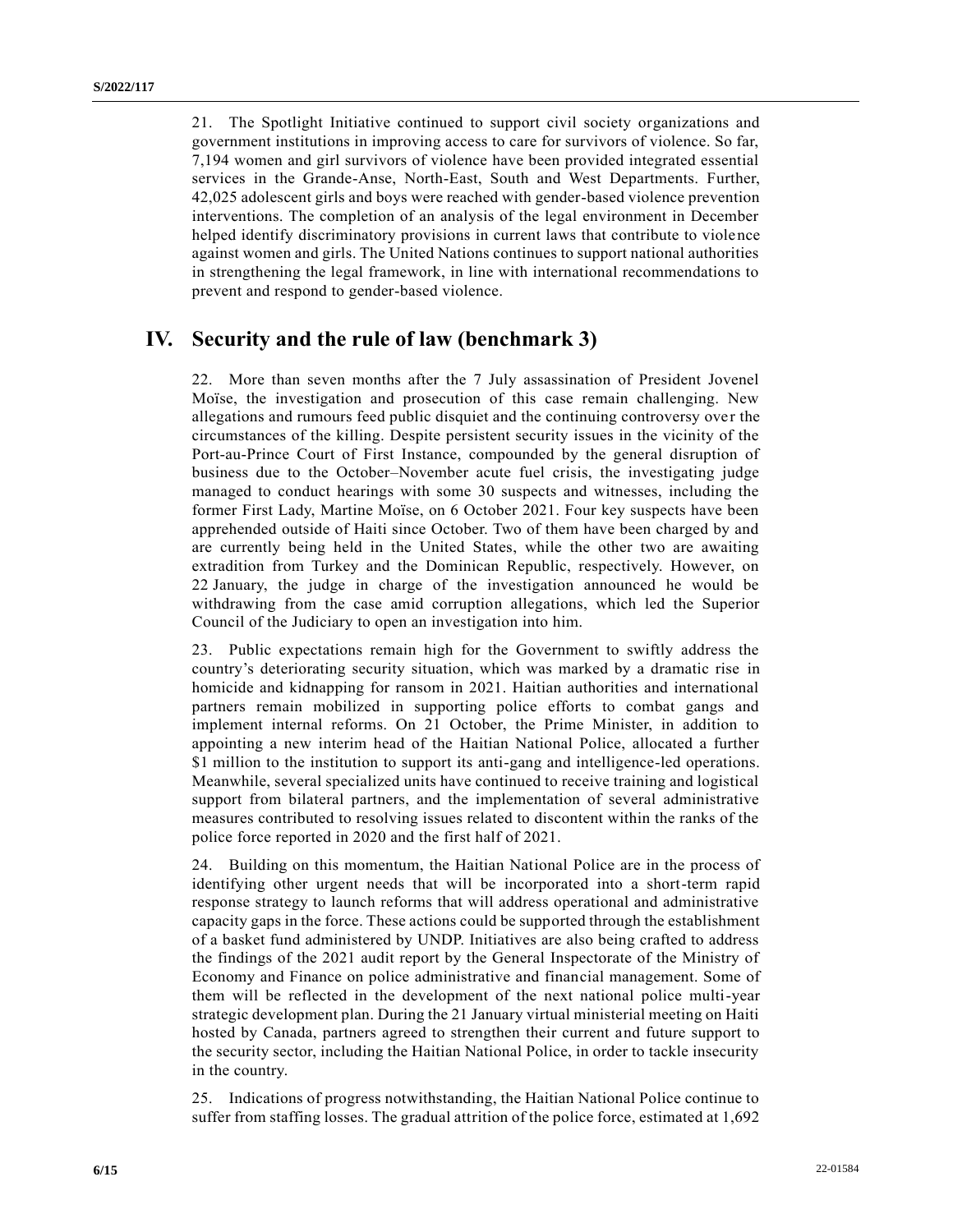21. The Spotlight Initiative continued to support civil society organizations and government institutions in improving access to care for survivors of violence. So far, 7,194 women and girl survivors of violence have been provided integrated essential services in the Grande-Anse, North-East, South and West Departments. Further, 42,025 adolescent girls and boys were reached with gender-based violence prevention interventions. The completion of an analysis of the legal environment in December helped identify discriminatory provisions in current laws that contribute to violence against women and girls. The United Nations continues to support national authorities in strengthening the legal framework, in line with international recommendations to prevent and respond to gender-based violence.

### **IV. Security and the rule of law (benchmark 3)**

22. More than seven months after the 7 July assassination of President Jovenel Moïse, the investigation and prosecution of this case remain challenging. New allegations and rumours feed public disquiet and the continuing controversy over the circumstances of the killing. Despite persistent security issues in the vicinity of the Port-au-Prince Court of First Instance, compounded by the general disruption of business due to the October–November acute fuel crisis, the investigating judge managed to conduct hearings with some 30 suspects and witnesses, including the former First Lady, Martine Moïse, on 6 October 2021. Four key suspects have been apprehended outside of Haiti since October. Two of them have been charged by and are currently being held in the United States, while the other two are awaiting extradition from Turkey and the Dominican Republic, respectively. However, on 22 January, the judge in charge of the investigation announced he would be withdrawing from the case amid corruption allegations, which led the Superior Council of the Judiciary to open an investigation into him.

23. Public expectations remain high for the Government to swiftly address the country's deteriorating security situation, which was marked by a dramatic rise in homicide and kidnapping for ransom in 2021. Haitian authorities and international partners remain mobilized in supporting police efforts to combat gangs and implement internal reforms. On 21 October, the Prime Minister, in addition to appointing a new interim head of the Haitian National Police, allocated a further \$1 million to the institution to support its anti-gang and intelligence-led operations. Meanwhile, several specialized units have continued to receive training and logistical support from bilateral partners, and the implementation of several administrative measures contributed to resolving issues related to discontent within the ranks of the police force reported in 2020 and the first half of 2021.

24. Building on this momentum, the Haitian National Police are in the process of identifying other urgent needs that will be incorporated into a short-term rapid response strategy to launch reforms that will address operational and administrative capacity gaps in the force. These actions could be supported through the establishment of a basket fund administered by UNDP. Initiatives are also being crafted to address the findings of the 2021 audit report by the General Inspectorate of the Ministry of Economy and Finance on police administrative and financial management. Some of them will be reflected in the development of the next national police multi-year strategic development plan. During the 21 January virtual ministerial meeting on Haiti hosted by Canada, partners agreed to strengthen their current and future support to the security sector, including the Haitian National Police, in order to tackle insecurity in the country.

25. Indications of progress notwithstanding, the Haitian National Police continue to suffer from staffing losses. The gradual attrition of the police force, estimated at 1,692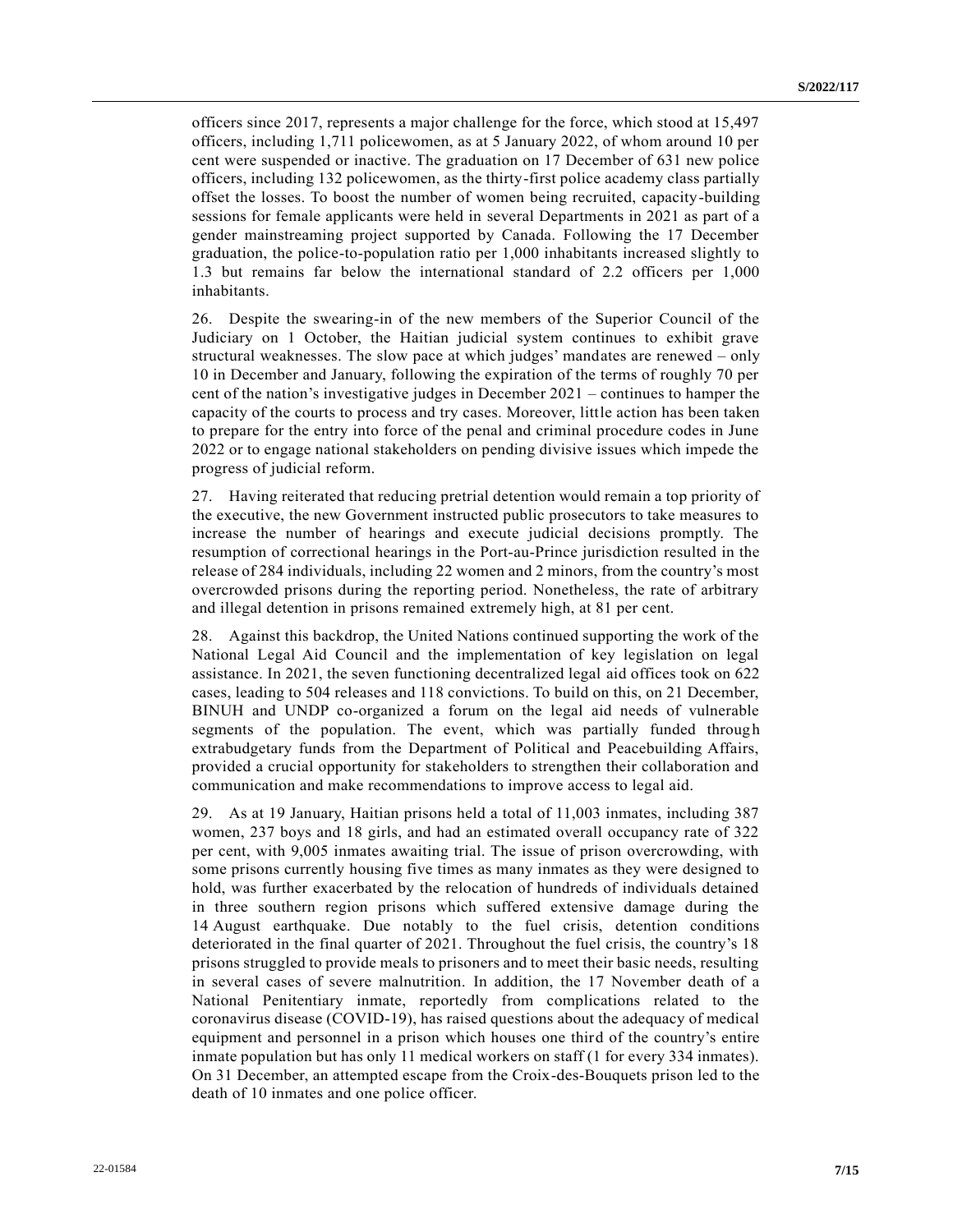officers since 2017, represents a major challenge for the force, which stood at 15,497 officers, including 1,711 policewomen, as at 5 January 2022, of whom around 10 per cent were suspended or inactive. The graduation on 17 December of 631 new police officers, including 132 policewomen, as the thirty-first police academy class partially offset the losses. To boost the number of women being recruited, capacity-building sessions for female applicants were held in several Departments in 2021 as part of a gender mainstreaming project supported by Canada. Following the 17 December graduation, the police-to-population ratio per 1,000 inhabitants increased slightly to 1.3 but remains far below the international standard of 2.2 officers per 1,000 inhabitants.

26. Despite the swearing-in of the new members of the Superior Council of the Judiciary on 1 October, the Haitian judicial system continues to exhibit grave structural weaknesses. The slow pace at which judges' mandates are renewed – only 10 in December and January, following the expiration of the terms of roughly 70 per cent of the nation's investigative judges in December 2021 – continues to hamper the capacity of the courts to process and try cases. Moreover, little action has been taken to prepare for the entry into force of the penal and criminal procedure codes in June 2022 or to engage national stakeholders on pending divisive issues which impede the progress of judicial reform.

27. Having reiterated that reducing pretrial detention would remain a top priority of the executive, the new Government instructed public prosecutors to take measures to increase the number of hearings and execute judicial decisions promptly. The resumption of correctional hearings in the Port-au-Prince jurisdiction resulted in the release of 284 individuals, including 22 women and 2 minors, from the country's most overcrowded prisons during the reporting period. Nonetheless, the rate of arbitrary and illegal detention in prisons remained extremely high, at 81 per cent.

28. Against this backdrop, the United Nations continued supporting the work of the National Legal Aid Council and the implementation of key legislation on legal assistance. In 2021, the seven functioning decentralized legal aid offices took on 622 cases, leading to 504 releases and 118 convictions. To build on this, on 21 December, BINUH and UNDP co-organized a forum on the legal aid needs of vulnerable segments of the population. The event, which was partially funded through extrabudgetary funds from the Department of Political and Peacebuilding Affairs, provided a crucial opportunity for stakeholders to strengthen their collaboration and communication and make recommendations to improve access to legal aid.

29. As at 19 January, Haitian prisons held a total of 11,003 inmates, including 387 women, 237 boys and 18 girls, and had an estimated overall occupancy rate of 322 per cent, with 9,005 inmates awaiting trial. The issue of prison overcrowding, with some prisons currently housing five times as many inmates as they were designed to hold, was further exacerbated by the relocation of hundreds of individuals detained in three southern region prisons which suffered extensive damage during the 14 August earthquake. Due notably to the fuel crisis, detention conditions deteriorated in the final quarter of 2021. Throughout the fuel crisis, the country's 18 prisons struggled to provide meals to prisoners and to meet their basic needs, resulting in several cases of severe malnutrition. In addition, the 17 November death of a National Penitentiary inmate, reportedly from complications related to the coronavirus disease (COVID-19), has raised questions about the adequacy of medical equipment and personnel in a prison which houses one third of the country's entire inmate population but has only 11 medical workers on staff (1 for every 334 inmates). On 31 December, an attempted escape from the Croix-des-Bouquets prison led to the death of 10 inmates and one police officer.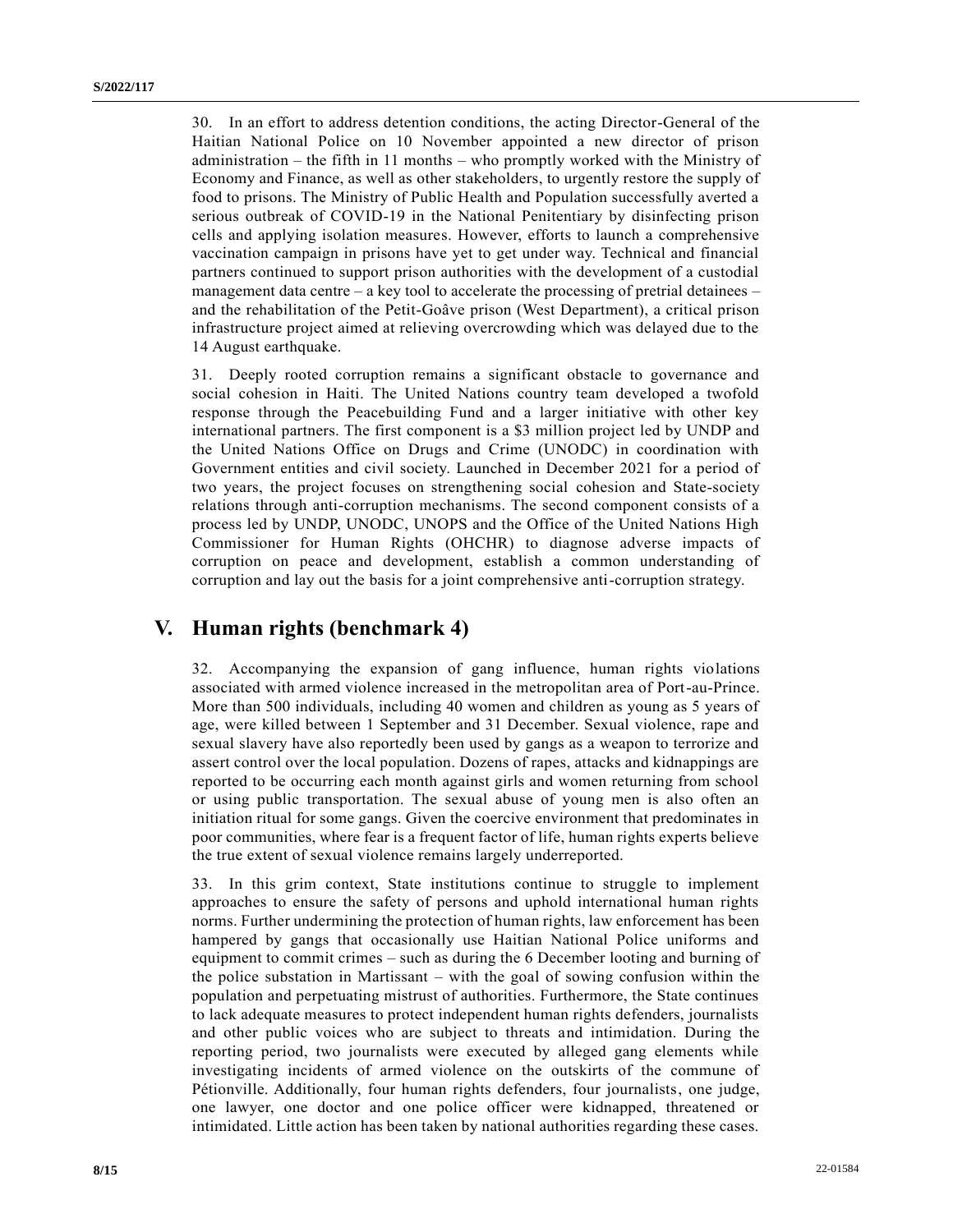30. In an effort to address detention conditions, the acting Director-General of the Haitian National Police on 10 November appointed a new director of prison administration – the fifth in 11 months – who promptly worked with the Ministry of Economy and Finance, as well as other stakeholders, to urgently restore the supply of food to prisons. The Ministry of Public Health and Population successfully averted a serious outbreak of COVID-19 in the National Penitentiary by disinfecting prison cells and applying isolation measures. However, efforts to launch a comprehensive vaccination campaign in prisons have yet to get under way. Technical and financial partners continued to support prison authorities with the development of a custodial management data centre – a key tool to accelerate the processing of pretrial detainees – and the rehabilitation of the Petit-Goâve prison (West Department), a critical prison infrastructure project aimed at relieving overcrowding which was delayed due to the 14 August earthquake.

31. Deeply rooted corruption remains a significant obstacle to governance and social cohesion in Haiti. The United Nations country team developed a twofold response through the Peacebuilding Fund and a larger initiative with other key international partners. The first component is a \$3 million project led by UNDP and the United Nations Office on Drugs and Crime (UNODC) in coordination with Government entities and civil society. Launched in December 2021 for a period of two years, the project focuses on strengthening social cohesion and State-society relations through anti-corruption mechanisms. The second component consists of a process led by UNDP, UNODC, UNOPS and the Office of the United Nations High Commissioner for Human Rights (OHCHR) to diagnose adverse impacts of corruption on peace and development, establish a common understanding of corruption and lay out the basis for a joint comprehensive anti-corruption strategy.

## **V. Human rights (benchmark 4)**

32. Accompanying the expansion of gang influence, human rights violations associated with armed violence increased in the metropolitan area of Port-au-Prince. More than 500 individuals, including 40 women and children as young as 5 years of age, were killed between 1 September and 31 December. Sexual violence, rape and sexual slavery have also reportedly been used by gangs as a weapon to terrorize and assert control over the local population. Dozens of rapes, attacks and kidnappings are reported to be occurring each month against girls and women returning from school or using public transportation. The sexual abuse of young men is also often an initiation ritual for some gangs. Given the coercive environment that predominates in poor communities, where fear is a frequent factor of life, human rights experts believe the true extent of sexual violence remains largely underreported.

33. In this grim context, State institutions continue to struggle to implement approaches to ensure the safety of persons and uphold international human rights norms. Further undermining the protection of human rights, law enforcement has been hampered by gangs that occasionally use Haitian National Police uniforms and equipment to commit crimes – such as during the 6 December looting and burning of the police substation in Martissant – with the goal of sowing confusion within the population and perpetuating mistrust of authorities. Furthermore, the State continues to lack adequate measures to protect independent human rights defenders, journalists and other public voices who are subject to threats and intimidation. During the reporting period, two journalists were executed by alleged gang elements while investigating incidents of armed violence on the outskirts of the commune of Pétionville. Additionally, four human rights defenders, four journalists, one judge, one lawyer, one doctor and one police officer were kidnapped, threatened or intimidated. Little action has been taken by national authorities regarding these cases.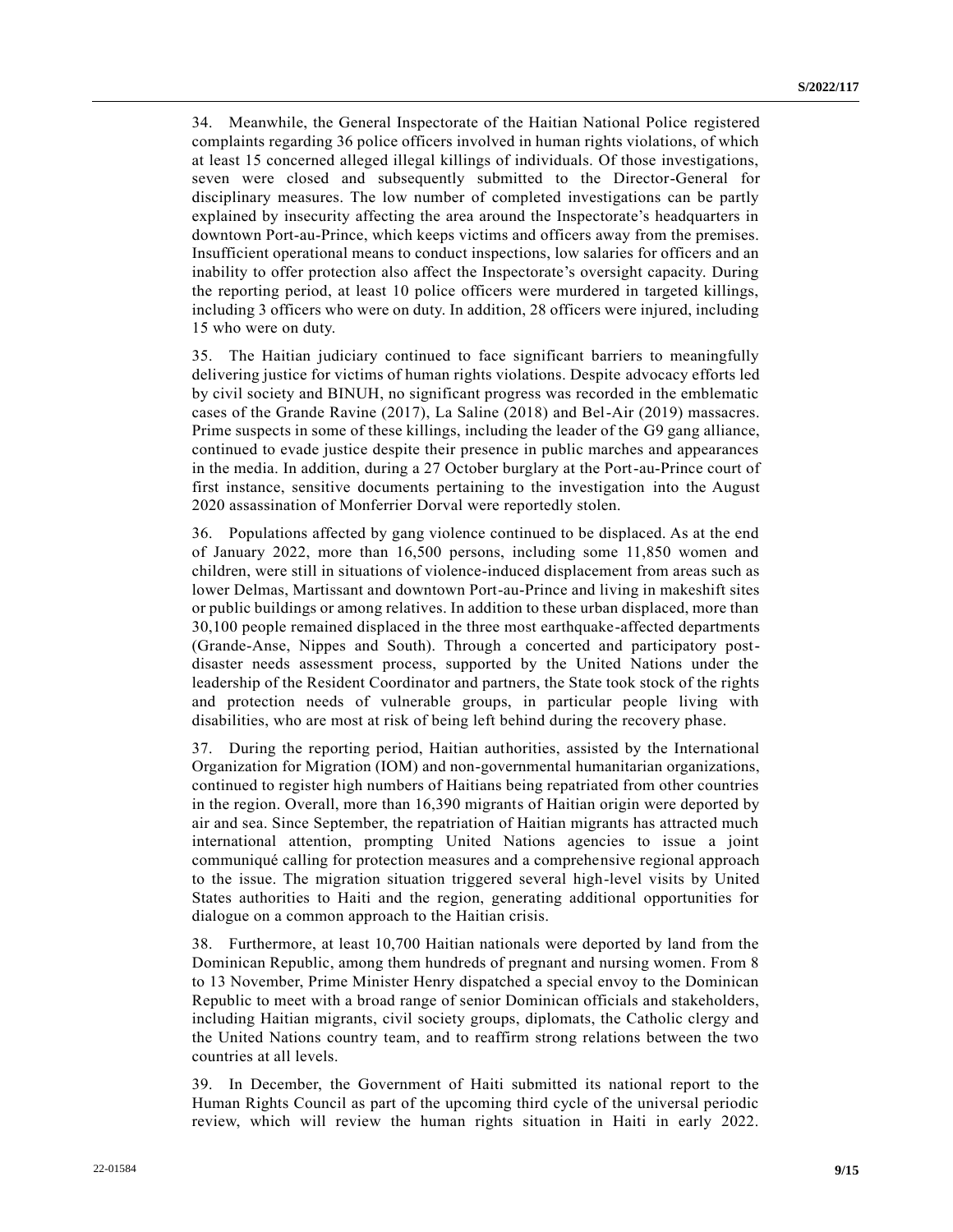34. Meanwhile, the General Inspectorate of the Haitian National Police registered complaints regarding 36 police officers involved in human rights violations, of which at least 15 concerned alleged illegal killings of individuals. Of those investigations, seven were closed and subsequently submitted to the Director-General for disciplinary measures. The low number of completed investigations can be partly explained by insecurity affecting the area around the Inspectorate's headquarters in downtown Port-au-Prince, which keeps victims and officers away from the premises. Insufficient operational means to conduct inspections, low salaries for officers and an inability to offer protection also affect the Inspectorate's oversight capacity. During the reporting period, at least 10 police officers were murdered in targeted killings, including 3 officers who were on duty. In addition, 28 officers were injured, including 15 who were on duty.

35. The Haitian judiciary continued to face significant barriers to meaningfully delivering justice for victims of human rights violations. Despite advocacy efforts led by civil society and BINUH, no significant progress was recorded in the emblematic cases of the Grande Ravine (2017), La Saline (2018) and Bel-Air (2019) massacres. Prime suspects in some of these killings, including the leader of the G9 gang alliance, continued to evade justice despite their presence in public marches and appearances in the media. In addition, during a 27 October burglary at the Port-au-Prince court of first instance, sensitive documents pertaining to the investigation into the August 2020 assassination of Monferrier Dorval were reportedly stolen.

36. Populations affected by gang violence continued to be displaced. As at the end of January 2022, more than 16,500 persons, including some 11,850 women and children, were still in situations of violence-induced displacement from areas such as lower Delmas, Martissant and downtown Port-au-Prince and living in makeshift sites or public buildings or among relatives. In addition to these urban displaced, more than 30,100 people remained displaced in the three most earthquake-affected departments (Grande-Anse, Nippes and South). Through a concerted and participatory postdisaster needs assessment process, supported by the United Nations under the leadership of the Resident Coordinator and partners, the State took stock of the rights and protection needs of vulnerable groups, in particular people living with disabilities, who are most at risk of being left behind during the recovery phase.

37. During the reporting period, Haitian authorities, assisted by the International Organization for Migration (IOM) and non-governmental humanitarian organizations, continued to register high numbers of Haitians being repatriated from other countries in the region. Overall, more than 16,390 migrants of Haitian origin were deported by air and sea. Since September, the repatriation of Haitian migrants has attracted much international attention, prompting United Nations agencies to issue a joint communiqué calling for protection measures and a comprehensive regional approach to the issue. The migration situation triggered several high-level visits by United States authorities to Haiti and the region, generating additional opportunities for dialogue on a common approach to the Haitian crisis.

38. Furthermore, at least 10,700 Haitian nationals were deported by land from the Dominican Republic, among them hundreds of pregnant and nursing women. From 8 to 13 November, Prime Minister Henry dispatched a special envoy to the Dominican Republic to meet with a broad range of senior Dominican officials and stakeholders, including Haitian migrants, civil society groups, diplomats, the Catholic clergy and the United Nations country team, and to reaffirm strong relations between the two countries at all levels.

39. In December, the Government of Haiti submitted its national report to the Human Rights Council as part of the upcoming third cycle of the universal periodic review, which will review the human rights situation in Haiti in early 2022.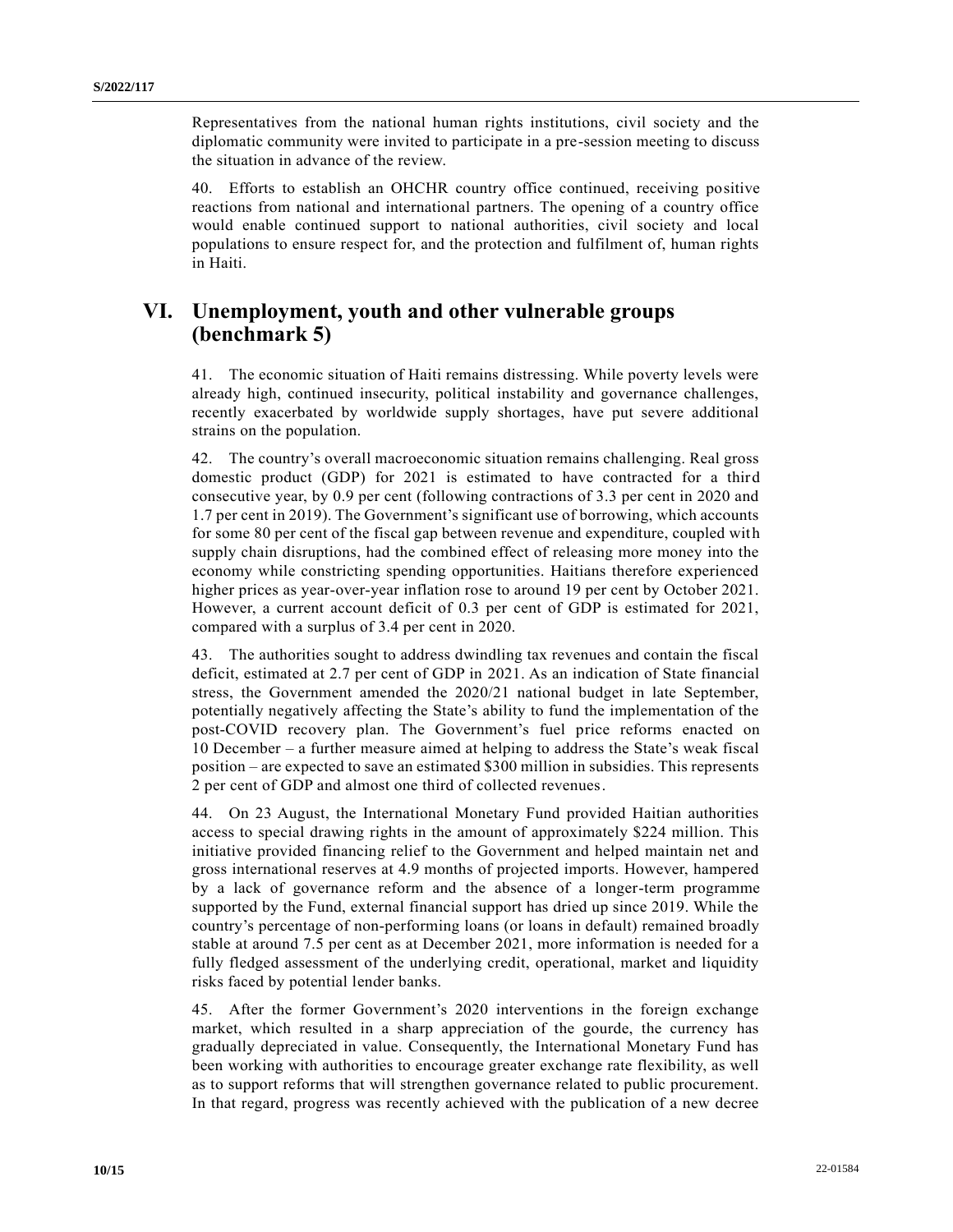Representatives from the national human rights institutions, civil society and the diplomatic community were invited to participate in a pre-session meeting to discuss the situation in advance of the review.

40. Efforts to establish an OHCHR country office continued, receiving positive reactions from national and international partners. The opening of a country office would enable continued support to national authorities, civil society and local populations to ensure respect for, and the protection and fulfilment of, human rights in Haiti.

# **VI. Unemployment, youth and other vulnerable groups (benchmark 5)**

41. The economic situation of Haiti remains distressing. While poverty levels were already high, continued insecurity, political instability and governance challenges, recently exacerbated by worldwide supply shortages, have put severe additional strains on the population.

42. The country's overall macroeconomic situation remains challenging. Real gross domestic product (GDP) for 2021 is estimated to have contracted for a third consecutive year, by 0.9 per cent (following contractions of 3.3 per cent in 2020 and 1.7 per cent in 2019). The Government's significant use of borrowing, which accounts for some 80 per cent of the fiscal gap between revenue and expenditure, coupled with supply chain disruptions, had the combined effect of releasing more money into the economy while constricting spending opportunities. Haitians therefore experienced higher prices as year-over-year inflation rose to around 19 per cent by October 2021. However, a current account deficit of 0.3 per cent of GDP is estimated for 2021, compared with a surplus of 3.4 per cent in 2020.

43. The authorities sought to address dwindling tax revenues and contain the fiscal deficit, estimated at 2.7 per cent of GDP in 2021. As an indication of State financial stress, the Government amended the 2020/21 national budget in late September, potentially negatively affecting the State's ability to fund the implementation of the post-COVID recovery plan. The Government's fuel price reforms enacted on 10 December – a further measure aimed at helping to address the State's weak fiscal position – are expected to save an estimated \$300 million in subsidies. This represents 2 per cent of GDP and almost one third of collected revenues.

44. On 23 August, the International Monetary Fund provided Haitian authorities access to special drawing rights in the amount of approximately \$224 million. This initiative provided financing relief to the Government and helped maintain net and gross international reserves at 4.9 months of projected imports. However, hampered by a lack of governance reform and the absence of a longer-term programme supported by the Fund, external financial support has dried up since 2019. While the country's percentage of non-performing loans (or loans in default) remained broadly stable at around 7.5 per cent as at December 2021, more information is needed for a fully fledged assessment of the underlying credit, operational, market and liquidity risks faced by potential lender banks.

45. After the former Government's 2020 interventions in the foreign exchange market, which resulted in a sharp appreciation of the gourde, the currency has gradually depreciated in value. Consequently, the International Monetary Fund has been working with authorities to encourage greater exchange rate flexibility, as well as to support reforms that will strengthen governance related to public procurement. In that regard, progress was recently achieved with the publication of a new decree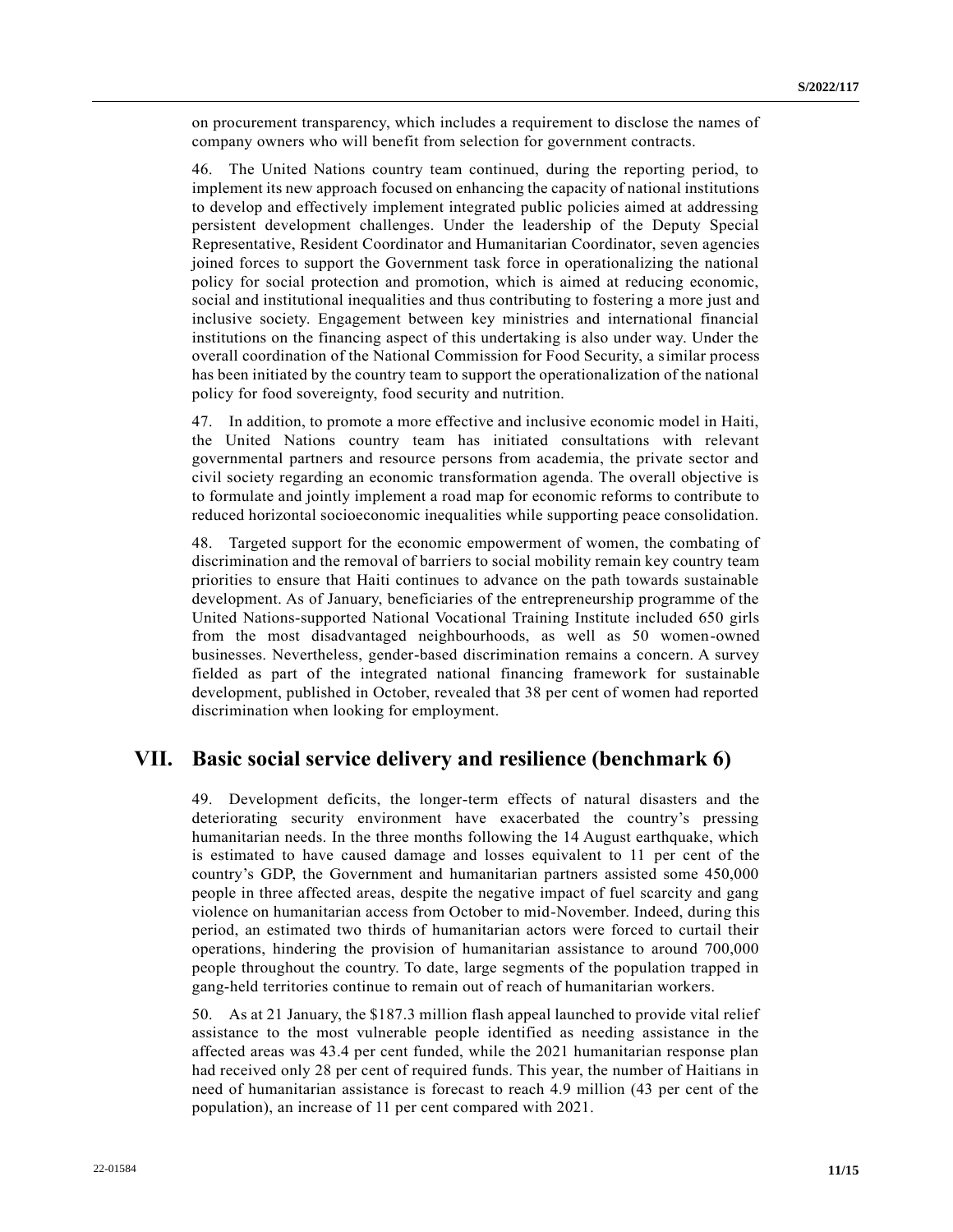on procurement transparency, which includes a requirement to disclose the names of company owners who will benefit from selection for government contracts.

46. The United Nations country team continued, during the reporting period, to implement its new approach focused on enhancing the capacity of national institutions to develop and effectively implement integrated public policies aimed at addressing persistent development challenges. Under the leadership of the Deputy Special Representative, Resident Coordinator and Humanitarian Coordinator, seven agencies joined forces to support the Government task force in operationalizing the national policy for social protection and promotion, which is aimed at reducing economic, social and institutional inequalities and thus contributing to fostering a more just and inclusive society. Engagement between key ministries and international financial institutions on the financing aspect of this undertaking is also under way. Under the overall coordination of the National Commission for Food Security, a similar process has been initiated by the country team to support the operationalization of the national policy for food sovereignty, food security and nutrition.

47. In addition, to promote a more effective and inclusive economic model in Haiti, the United Nations country team has initiated consultations with relevant governmental partners and resource persons from academia, the private sector and civil society regarding an economic transformation agenda. The overall objective is to formulate and jointly implement a road map for economic reforms to contribute to reduced horizontal socioeconomic inequalities while supporting peace consolidation.

48. Targeted support for the economic empowerment of women, the combating of discrimination and the removal of barriers to social mobility remain key country team priorities to ensure that Haiti continues to advance on the path towards sustainable development. As of January, beneficiaries of the entrepreneurship programme of the United Nations-supported National Vocational Training Institute included 650 girls from the most disadvantaged neighbourhoods, as well as 50 women-owned businesses. Nevertheless, gender-based discrimination remains a concern. A survey fielded as part of the integrated national financing framework for sustainable development, published in October, revealed that 38 per cent of women had reported discrimination when looking for employment.

### **VII. Basic social service delivery and resilience (benchmark 6)**

49. Development deficits, the longer-term effects of natural disasters and the deteriorating security environment have exacerbated the country's pressing humanitarian needs. In the three months following the 14 August earthquake, which is estimated to have caused damage and losses equivalent to 11 per cent of the country's GDP, the Government and humanitarian partners assisted some 450,000 people in three affected areas, despite the negative impact of fuel scarcity and gang violence on humanitarian access from October to mid-November. Indeed, during this period, an estimated two thirds of humanitarian actors were forced to curtail their operations, hindering the provision of humanitarian assistance to around 700,000 people throughout the country. To date, large segments of the population trapped in gang-held territories continue to remain out of reach of humanitarian workers.

50. As at 21 January, the \$187.3 million flash appeal launched to provide vital relief assistance to the most vulnerable people identified as needing assistance in the affected areas was 43.4 per cent funded, while the 2021 humanitarian response plan had received only 28 per cent of required funds. This year, the number of Haitians in need of humanitarian assistance is forecast to reach 4.9 million (43 per cent of the population), an increase of 11 per cent compared with 2021.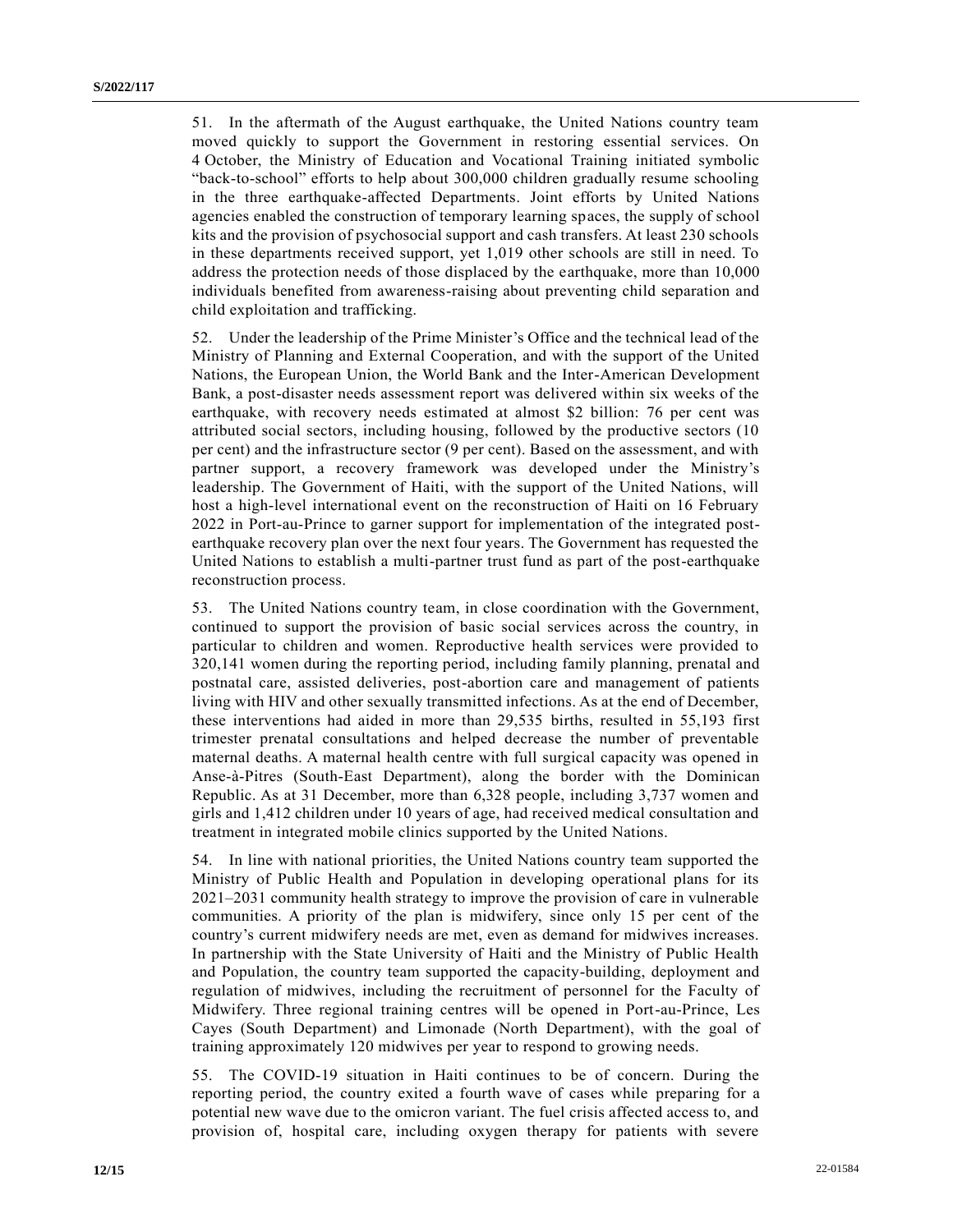51. In the aftermath of the August earthquake, the United Nations country team moved quickly to support the Government in restoring essential services. On 4 October, the Ministry of Education and Vocational Training initiated symbolic "back-to-school" efforts to help about 300,000 children gradually resume schooling in the three earthquake-affected Departments. Joint efforts by United Nations agencies enabled the construction of temporary learning spaces, the supply of school kits and the provision of psychosocial support and cash transfers. At least 230 schools in these departments received support, yet 1,019 other schools are still in need. To address the protection needs of those displaced by the earthquake, more than 10,000 individuals benefited from awareness-raising about preventing child separation and child exploitation and trafficking.

52. Under the leadership of the Prime Minister's Office and the technical lead of the Ministry of Planning and External Cooperation, and with the support of the United Nations, the European Union, the World Bank and the Inter-American Development Bank, a post-disaster needs assessment report was delivered within six weeks of the earthquake, with recovery needs estimated at almost \$2 billion: 76 per cent was attributed social sectors, including housing, followed by the productive sectors (10 per cent) and the infrastructure sector (9 per cent). Based on the assessment, and with partner support, a recovery framework was developed under the Ministry's leadership. The Government of Haiti, with the support of the United Nations, will host a high-level international event on the reconstruction of Haiti on 16 February 2022 in Port-au-Prince to garner support for implementation of the integrated postearthquake recovery plan over the next four years. The Government has requested the United Nations to establish a multi-partner trust fund as part of the post-earthquake reconstruction process.

53. The United Nations country team, in close coordination with the Government, continued to support the provision of basic social services across the country, in particular to children and women. Reproductive health services were provided to 320,141 women during the reporting period, including family planning, prenatal and postnatal care, assisted deliveries, post-abortion care and management of patients living with HIV and other sexually transmitted infections. As at the end of December, these interventions had aided in more than 29,535 births, resulted in 55,193 first trimester prenatal consultations and helped decrease the number of preventable maternal deaths. A maternal health centre with full surgical capacity was opened in Anse-à-Pitres (South-East Department), along the border with the Dominican Republic. As at 31 December, more than 6,328 people, including 3,737 women and girls and 1,412 children under 10 years of age, had received medical consultation and treatment in integrated mobile clinics supported by the United Nations.

54. In line with national priorities, the United Nations country team supported the Ministry of Public Health and Population in developing operational plans for its 2021–2031 community health strategy to improve the provision of care in vulnerable communities. A priority of the plan is midwifery, since only 15 per cent of the country's current midwifery needs are met, even as demand for midwives increases. In partnership with the State University of Haiti and the Ministry of Public Health and Population, the country team supported the capacity-building, deployment and regulation of midwives, including the recruitment of personnel for the Faculty of Midwifery. Three regional training centres will be opened in Port-au-Prince, Les Cayes (South Department) and Limonade (North Department), with the goal of training approximately 120 midwives per year to respond to growing needs.

55. The COVID-19 situation in Haiti continues to be of concern. During the reporting period, the country exited a fourth wave of cases while preparing for a potential new wave due to the omicron variant. The fuel crisis affected access to, and provision of, hospital care, including oxygen therapy for patients with severe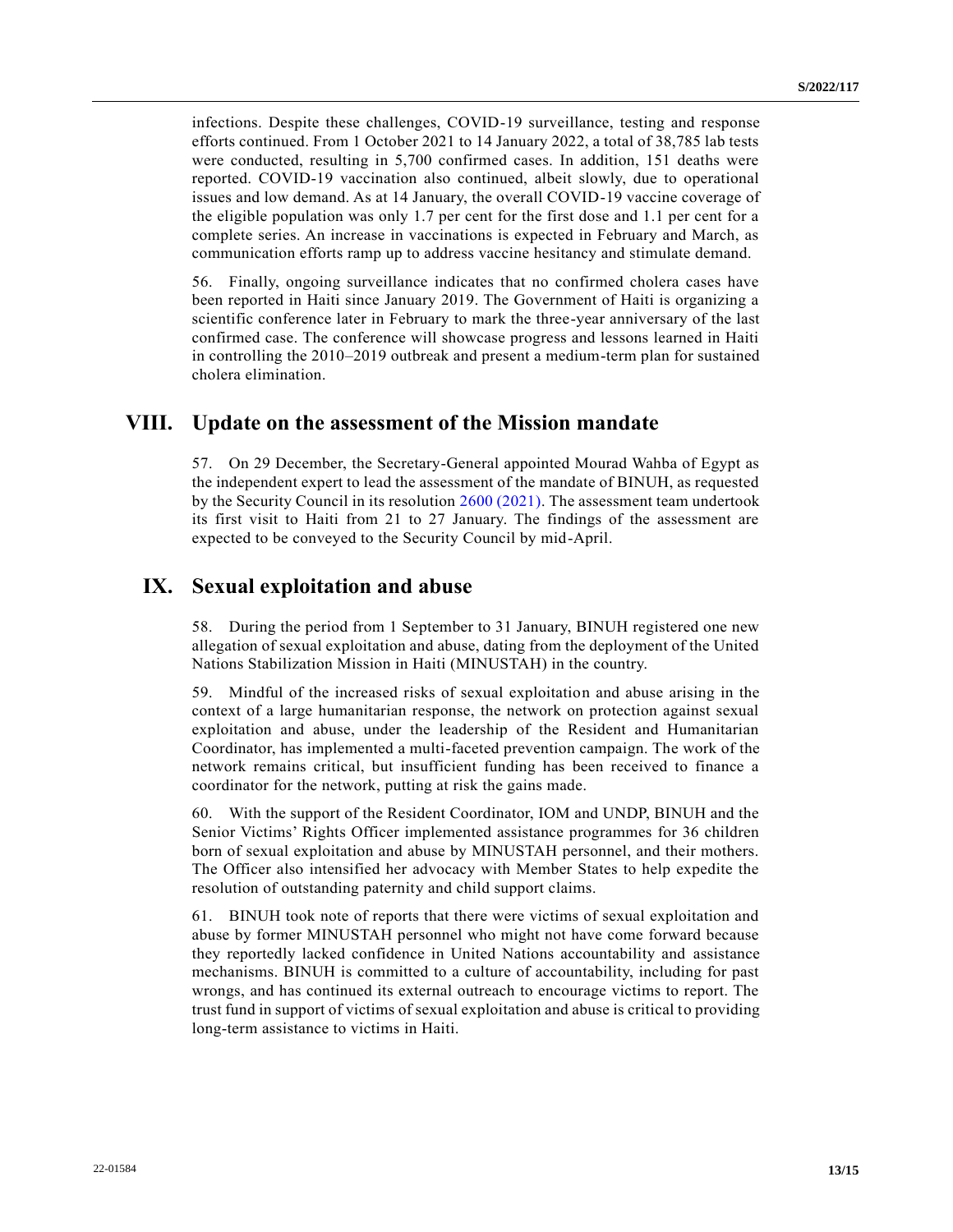infections. Despite these challenges, COVID-19 surveillance, testing and response efforts continued. From 1 October 2021 to 14 January 2022, a total of 38,785 lab tests were conducted, resulting in 5,700 confirmed cases. In addition, 151 deaths were reported. COVID-19 vaccination also continued, albeit slowly, due to operational issues and low demand. As at 14 January, the overall COVID-19 vaccine coverage of the eligible population was only 1.7 per cent for the first dose and 1.1 per cent for a complete series. An increase in vaccinations is expected in February and March, as communication efforts ramp up to address vaccine hesitancy and stimulate demand.

56. Finally, ongoing surveillance indicates that no confirmed cholera cases have been reported in Haiti since January 2019. The Government of Haiti is organizing a scientific conference later in February to mark the three-year anniversary of the last confirmed case. The conference will showcase progress and lessons learned in Haiti in controlling the 2010–2019 outbreak and present a medium-term plan for sustained cholera elimination.

### **VIII. Update on the assessment of the Mission mandate**

57. On 29 December, the Secretary-General appointed Mourad Wahba of Egypt as the independent expert to lead the assessment of the mandate of BINUH, as requested by the Security Council in its resolution [2600 \(2021\).](https://undocs.org/en/S/RES/2600(2021)) The assessment team undertook its first visit to Haiti from 21 to 27 January. The findings of the assessment are expected to be conveyed to the Security Council by mid-April.

### **IX. Sexual exploitation and abuse**

58. During the period from 1 September to 31 January, BINUH registered one new allegation of sexual exploitation and abuse, dating from the deployment of the United Nations Stabilization Mission in Haiti (MINUSTAH) in the country.

59. Mindful of the increased risks of sexual exploitation and abuse arising in the context of a large humanitarian response, the network on protection against sexual exploitation and abuse, under the leadership of the Resident and Humanitarian Coordinator, has implemented a multi-faceted prevention campaign. The work of the network remains critical, but insufficient funding has been received to finance a coordinator for the network, putting at risk the gains made.

60. With the support of the Resident Coordinator, IOM and UNDP, BINUH and the Senior Victims' Rights Officer implemented assistance programmes for 36 children born of sexual exploitation and abuse by MINUSTAH personnel, and their mothers. The Officer also intensified her advocacy with Member States to help expedite the resolution of outstanding paternity and child support claims.

61. BINUH took note of reports that there were victims of sexual exploitation and abuse by former MINUSTAH personnel who might not have come forward because they reportedly lacked confidence in United Nations accountability and assistance mechanisms. BINUH is committed to a culture of accountability, including for past wrongs, and has continued its external outreach to encourage victims to report. The trust fund in support of victims of sexual exploitation and abuse is critical to providing long-term assistance to victims in Haiti.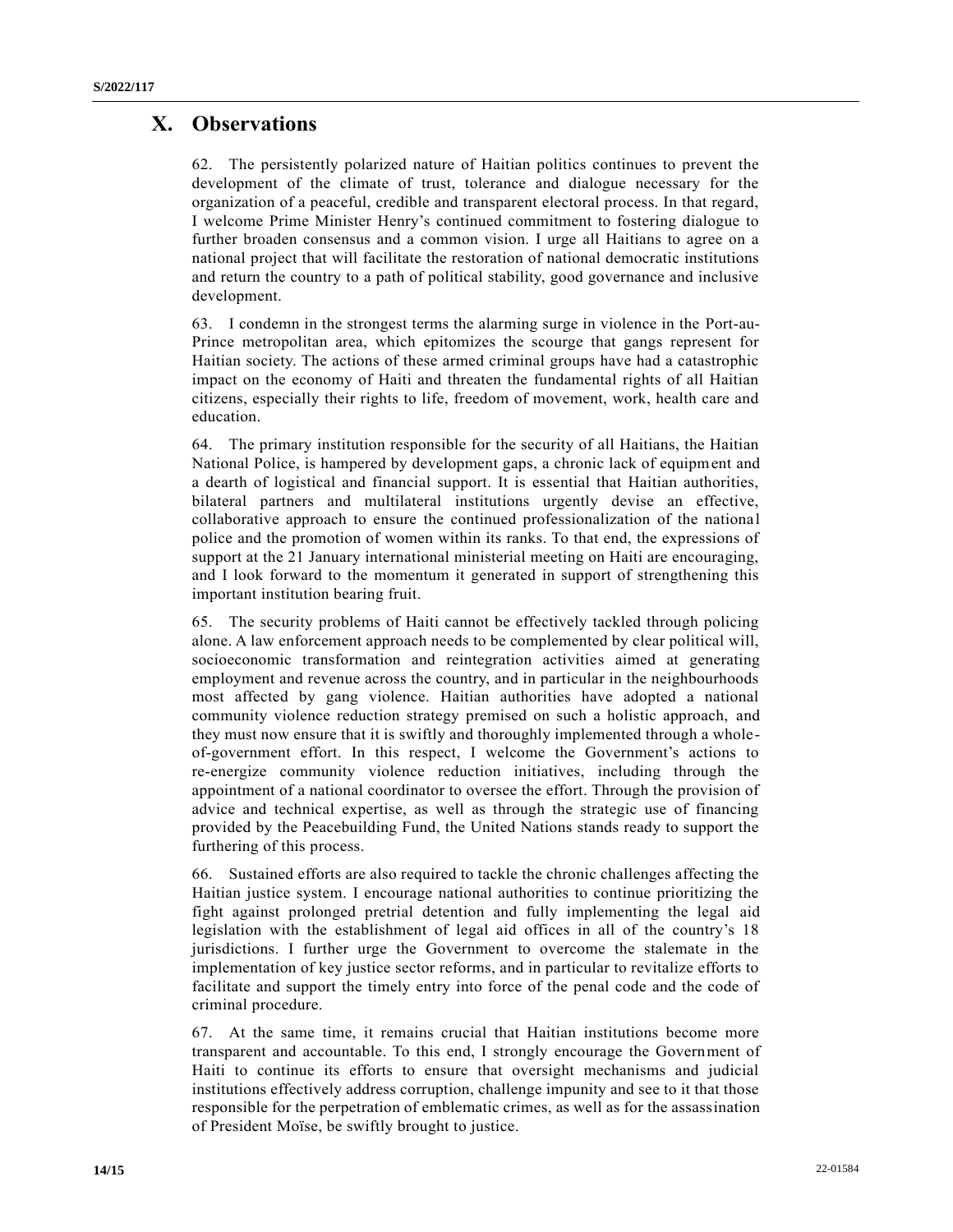# **X. Observations**

62. The persistently polarized nature of Haitian politics continues to prevent the development of the climate of trust, tolerance and dialogue necessary for the organization of a peaceful, credible and transparent electoral process. In that regard, I welcome Prime Minister Henry's continued commitment to fostering dialogue to further broaden consensus and a common vision. I urge all Haitians to agree on a national project that will facilitate the restoration of national democratic institutions and return the country to a path of political stability, good governance and inclusive development.

63. I condemn in the strongest terms the alarming surge in violence in the Port-au-Prince metropolitan area, which epitomizes the scourge that gangs represent for Haitian society. The actions of these armed criminal groups have had a catastrophic impact on the economy of Haiti and threaten the fundamental rights of all Haitian citizens, especially their rights to life, freedom of movement, work, health care and education.

64. The primary institution responsible for the security of all Haitians, the Haitian National Police, is hampered by development gaps, a chronic lack of equipment and a dearth of logistical and financial support. It is essential that Haitian authorities, bilateral partners and multilateral institutions urgently devise an effective, collaborative approach to ensure the continued professionalization of the national police and the promotion of women within its ranks. To that end, the expressions of support at the 21 January international ministerial meeting on Haiti are encouraging, and I look forward to the momentum it generated in support of strengthening this important institution bearing fruit.

65. The security problems of Haiti cannot be effectively tackled through policing alone. A law enforcement approach needs to be complemented by clear political will, socioeconomic transformation and reintegration activities aimed at generating employment and revenue across the country, and in particular in the neighbourhoods most affected by gang violence. Haitian authorities have adopted a national community violence reduction strategy premised on such a holistic approach, and they must now ensure that it is swiftly and thoroughly implemented through a wholeof-government effort. In this respect, I welcome the Government's actions to re-energize community violence reduction initiatives, including through the appointment of a national coordinator to oversee the effort. Through the provision of advice and technical expertise, as well as through the strategic use of financing provided by the Peacebuilding Fund, the United Nations stands ready to support the furthering of this process.

66. Sustained efforts are also required to tackle the chronic challenges affecting the Haitian justice system. I encourage national authorities to continue prioritizing the fight against prolonged pretrial detention and fully implementing the legal aid legislation with the establishment of legal aid offices in all of the country's 18 jurisdictions. I further urge the Government to overcome the stalemate in the implementation of key justice sector reforms, and in particular to revitalize efforts to facilitate and support the timely entry into force of the penal code and the code of criminal procedure.

67. At the same time, it remains crucial that Haitian institutions become more transparent and accountable. To this end, I strongly encourage the Government of Haiti to continue its efforts to ensure that oversight mechanisms and judicial institutions effectively address corruption, challenge impunity and see to it that those responsible for the perpetration of emblematic crimes, as well as for the assassination of President Moïse, be swiftly brought to justice.